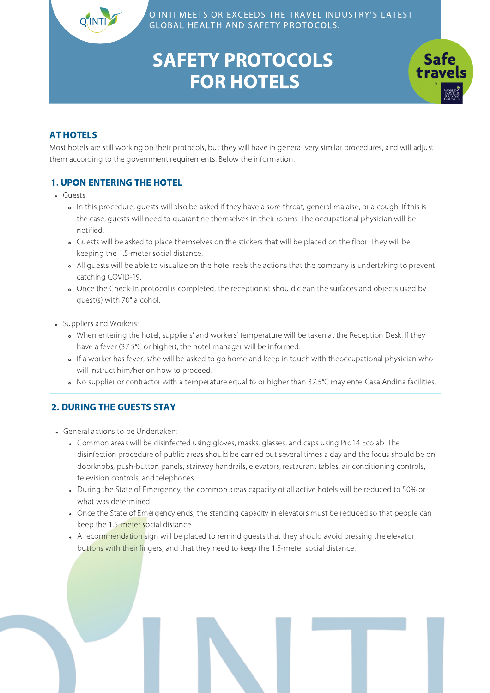# SAFETY PROTOCOLS FOR HOTELS



### AT HOTELS

Most hotels are still working on their protocols, but they will have in general very similar procedures, and will adjust them according to the government requirements. Below the information:

### 1. UPON ENTERING THE HOTEL

- Guests
	- In this procedure, guests will also be asked if they have a sore throat, general malaise, or a cough. If this is the case, guests will need to quarantine themselves in their rooms. The occupational physician will be notified.
	- Guests will be asked to place themselves on the stickers that will be placed on the floor. They will be keeping the 1.5-meter social distance.
	- All guests will be able to visualize on the hotel reels the actions that the company is undertaking to prevent catching COVID-19.
	- Once the Check-In protocol is completed, the receptionist should clean the surfaces and objects used by guest(s) with 70° alcohol.
- Suppliers and Workers:
	- When entering the hotel, suppliers' and workers' temperature will be taken at the Reception Desk. If they have a fever (37.5°C or higher), the hotel manager will be informed.
	- If a worker has fever, s/he will be asked to go home and keep in touch with theoccupational physician who will instruct him/her on how to proceed.
	- No supplier or contractor with a temperature equal to or higher than 37.5°C may enterCasa Andina facilities.

### 2. DURING THE GUESTS STAY

- General actions to be Undertaken:
	- Common areas will be disinfected using gloves, masks, glasses, and caps using Pro14 Ecolab. The disinfection procedure of public areas should be carried out several times a day and the focus should be on doorknobs, push-button panels, stairway handrails, elevators, restaurant tables, air conditioning controls, television controls, and telephones.
	- During the State of Emergency, the common areas capacity of all active hotels will be reduced to 50% or what was determined.
	- Once the State of Emergency ends, the standing capacity in elevators must be reduced so that people can keep the 1.5-meter social distance.
	- A recommendation sign will be placed to remind guests that they should avoid pressing the elevator buttons with their fingers, and that they need to keep the 1.5-meter social distance.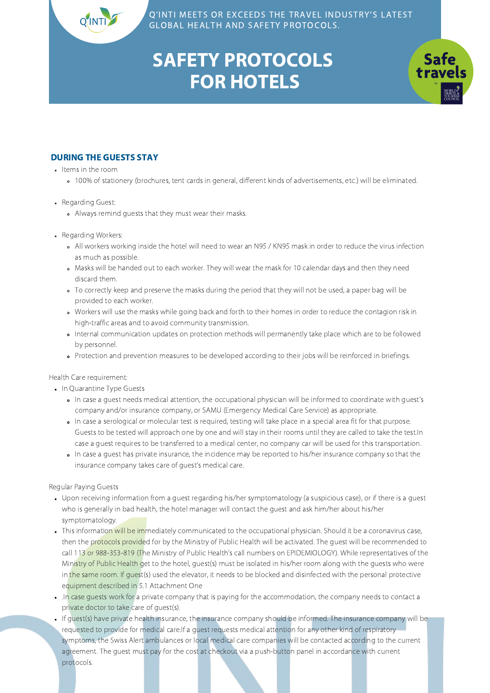

**Safe** 

# SAFETY PROTOCOLS FOR HOTELS

#### DURING THE GUESTS STAY

• Items in the room

- 100% of stationery (brochures, tent cards in general, different kinds of advertisements, etc.) will be eliminated.
- Regarding Guest:
	- Always remind guests that they must wear their masks.
- Regarding Workers:
	- All workers working inside the hotel will need to wear an N95 / KN95 mask in order to reduce the virus infection as much as possible.
	- Masks will be handed out to each worker. They will wear the mask for 10 calendar days and then they need discard them.
	- To correctly keep and preserve the masks during the period that they will not be used, a paper bag will be provided to each worker.
	- Workers will use the masks while going back and forth to their homes in order to reduce the contagion risk in high-traffic areas and to avoid community transmission.
	- Internal communication updates on protection methods will permanently take place which are to be followed by personnel.
	- Protection and prevention measures to be developed according to their jobs will be reinforced in briefings.

Health Care requirement:

- In Quarantine Type Guests
	- In case a guest needs medical attention, the occupational physician will be informed to coordinate with guest's company and/or insurance company, or SAMU (Emergency Medical Care Service) as appropriate.
	- In case a serological or molecular test is required, testing will take place in a special area fit for that purpose. Guests to be tested will approach one by one and will stay in their rooms until they are called to take the test.In case a guest requires to be transferred to a medical center, no company car will be used for this transportation.
	- In case a guest has private insurance, the incidence may be reported to his/her insurance company so that the insurance company takes care of guest's medical care.

Regular Paying Guests

- Upon receiving information from a guest regarding his/her symptomatology (a suspicious case), or if there is a guest who is generally in bad health, the hotel manager will contact the guest and ask him/her about his/her symptomatology.
- This information will be immediately communicated to the occupational physician. Should it be a coronavirus case, then the protocols provided for by the Ministry of Public Health will be activated. The guest will be recommended to call 113 or 988-353-819 (The Ministry of Public Health's call numbers on EPIDEMIOLOGY). While representatives of the Ministry of Public Health get to the hotel, guest(s) must be isolated in his/her room along with the guests who were in the same room. If quest(s) used the elevator, it needs to be blocked and disinfected with the personal protective equipment described in 5.1 Attachment One
- .In case guests work for a private company that is paying for the accommodation, the company needs to contact a private doctor to take care of guest(s).
- If guest(s) have private health insurance, the insurance company should be informed. The insurance company will be requested to provide for medical care.If a guest requests medical attention for any other kind of respiratory symptoms, the Swiss Alert ambulances or local medical care companies will be contacted according to the current agreement. The guest must pay for the cost at checkout via a push-button panel in accordance with current protocols.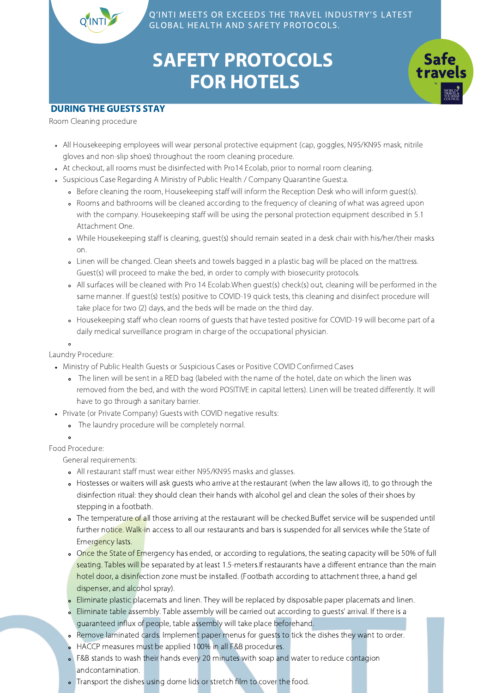## SAFETY PROTOCOLS FOR HOTELS



#### DURING THE GUESTS STAY

Room Cleaning procedure

- All Housekeeping employees will wear personal protective equipment (cap, goggles, N95/KN95 mask, nitrile gloves and non-slip shoes) throughout the room cleaning procedure.
- At checkout, all rooms must be disinfected with Pro14 Ecolab, prior to normal room cleaning.
- Suspicious Case Regarding A Ministry of Public Health / Company Quarantine Guest:a.
	- Before cleaning the room, Housekeeping staff will inform the Reception Desk who will inform guest(s).
	- Rooms and bathrooms will be cleaned according to the frequency of cleaning of what was agreed upon with the company. Housekeeping staff will be using the personal protection equipment described in 5.1 Attachment One.
	- While Housekeeping staff is cleaning, guest(s) should remain seated in a desk chair with his/her/their masks on.
	- Linen will be changed. Clean sheets and towels bagged in a plastic bag will be placed on the mattress. Guest(s) will proceed to make the bed, in order to comply with biosecurity protocols.
	- All surfaces will be cleaned with Pro 14 Ecolab.When guest(s) check(s) out, cleaning will be performed in the same manner. If guest(s) test(s) positive to COVID-19 quick tests, this cleaning and disinfect procedure will take place for two (2) days, and the beds will be made on the third day.
	- Housekeeping staff who clean rooms of guests that have tested positive for COVID-19 will become part of a daily medical surveillance program in charge of the occupational physician.

 $\circ$ Laundry Procedure:

- Ministry of Public Health Guests or Suspicious Cases or Positive COVID Confirmed Cases
	- The linen will be sent in a RED bag (labeled with the name of the hotel, date on which the linen was removed from the bed, and with the word POSITIVE in capital letters). Linen will be treated differently. It will have to go through a sanitary barrier.
- Private (or Private Company) Guests with COVID negative results:
	- The laundry procedure will be completely normal.
	-

Food Procedure:

General requirements:

- All restaurant staff must wear either N95/KN95 masks and glasses.
- Hostesses or waiters will ask guests who arrive at the restaurant (when the law allows it), to go through the disinfection ritual: they should clean their hands with alcohol gel and clean the soles of their shoes by stepping in a footbath.
- The temperature of all those arriving at the restaurant will be checked.Buffet service will be suspended until further notice. Walk-in access to all our restaurants and bars is suspended for all services while the State of Emergency lasts.
- o Once the State of Emergency has ended, or according to regulations, the seating capacity will be 50% of full seating. Tables will be separated by at least 1.5-meters.If restaurants have a different entrance than the main hotel door, a disinfection zone must be installed. (Footbath according to attachment three, a hand gel dispenser, and alcohol spray).
- Eliminate plastic placemats and linen. They will be replaced by disposable paper placemats and linen.
- Eliminate table assembly. Table assembly will be carried out according to guests' arrival. If there is a guaranteed influx of people, table assembly will take place beforehand.
- Remove laminated cards. Implement paper menus for guests to tick the dishes they want to order.
- HACCP measures must be applied 100% in all F&B procedures.
- F&B stands to wash their hands every 20 minutes with soap and water to reduce contagion andcontamination.
- Transport the dishes using dome lids or stretch film to cover the food.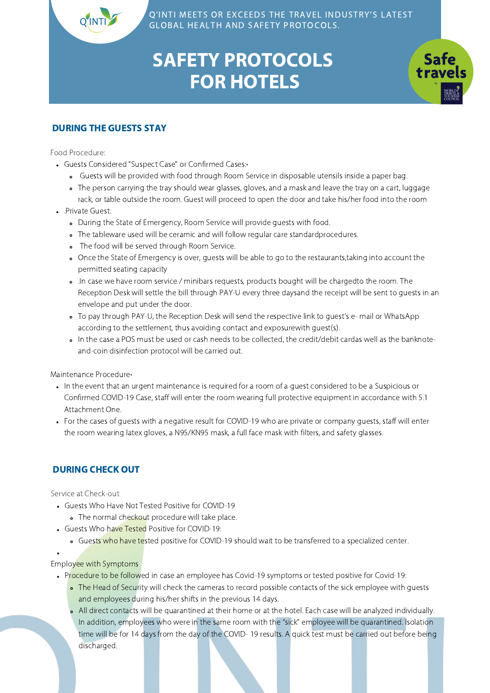**Safe** 

## SAFETY PROTOCOLS FOR HOTELS

#### DURING THE GUESTS STAY

Food Procedure:

- Guests Considered "Suspect Case" or Confirmed Cases:•
	- Guests will be provided with food through Room Service in disposable utensils inside a paper bag.
	- The person carrying the tray should wear glasses, gloves, and a mask and leave the tray on a cart, luggage rack, or table outside the room. Guest will proceed to open the door and take his/her food into the room
- .Private Guest:
	- During the State of Emergency, Room Service will provide guests with food.
	- The tableware used will be ceramic and will follow regular care standardprocedures.
	- . The food will be served through Room Service.
	- Once the State of Emergency is over, guests will be able to go to the restaurants,taking into account the permitted seating capacity
	- .In case we have room service / minibars requests, products bought will be chargedto the room. The Reception Desk will settle the bill through PAY-U every three daysand the receipt will be sent to guests in an envelope and put under the door.
	- To pay through PAY-U, the Reception Desk will send the respective link to guest's e- mail or WhatsApp according to the settlement, thus avoiding contact and exposurewith guest(s).
	- In the case a POS must be used or cash needs to be collected, the credit/debit cardas well as the banknoteand-coin disinfection protocol will be carried out.

Maintenance Procedure•

- In the event that an urgent maintenance is required for a room of a guest considered to be a Suspicious or Confirmed COVID-19 Case, staff will enter the room wearing full protective equipment in accordance with 5.1 Attachment One.
- For the cases of guests with a negative result for COVID-19 who are private or company guests, staff will enter the room wearing latex gloves, a N95/KN95 mask, a full face mask with filters, and safety glasses.

#### DURING CHECK OUT

Service at Check-out

- Guests Who Have Not Tested Positive for COVID-19
- . The normal checkout procedure will take place.
- Guests Who have Tested Positive for COVID-19:
	- Guests who have tested positive for COVID-19 should wait to be transferred to a specialized center.

Employee with Symptoms

- Procedure to be followed in case an employee has Covid-19 symptoms or tested positive for Covid-19:
	- The Head of Security will check the cameras to record possible contacts of the sick employee with quests and employees during his/her shifts in the previous 14 days.
	- All direct contacts will be quarantined at their home or at the hotel. Each case will be analyzed individually. In addition, employees who were in the same room with the "sick" employee will be quarantined. Isolation time will be for 14 days from the day of the COVID- 19 results. A quick test must be carried out before being discharged.